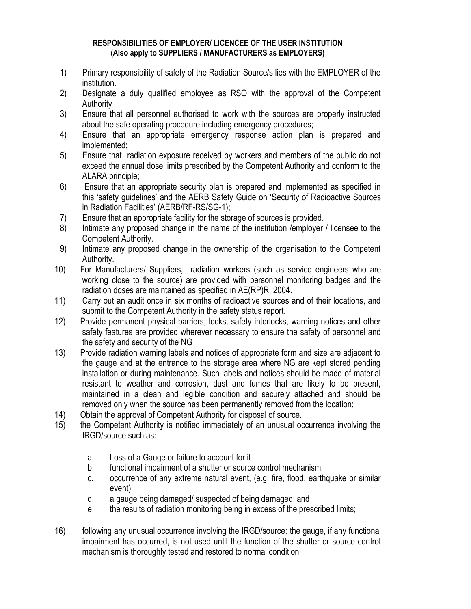## **RESPONSIBILITIES OF EMPLOYER/ LICENCEE OF THE USER INSTITUTION (Also apply to SUPPLIERS / MANUFACTURERS as EMPLOYERS)**

- 1) Primary responsibility of safety of the Radiation Source/s lies with the EMPLOYER of the institution.
- 2) Designate a duly qualified employee as RSO with the approval of the Competent Authority
- 3) Ensure that all personnel authorised to work with the sources are properly instructed about the safe operating procedure including emergency procedures;
- 4) Ensure that an appropriate emergency response action plan is prepared and implemented;
- 5) Ensure that radiation exposure received by workers and members of the public do not exceed the annual dose limits prescribed by the Competent Authority and conform to the ALARA principle;
- 6) Ensure that an appropriate security plan is prepared and implemented as specified in this 'safety guidelines' and the AERB Safety Guide on 'Security of Radioactive Sources in Radiation Facilities' (AERB/RF-RS/SG-1);
- 7) Ensure that an appropriate facility for the storage of sources is provided.
- 8) Intimate any proposed change in the name of the institution /employer / licensee to the Competent Authority.
- 9) Intimate any proposed change in the ownership of the organisation to the Competent Authority.
- 10) For Manufacturers/ Suppliers, radiation workers (such as service engineers who are working close to the source) are provided with personnel monitoring badges and the radiation doses are maintained as specified in AE(RP)R, 2004.
- 11) Carry out an audit once in six months of radioactive sources and of their locations, and submit to the Competent Authority in the safety status report.
- 12) Provide permanent physical barriers, locks, safety interlocks, warning notices and other safety features are provided wherever necessary to ensure the safety of personnel and the safety and security of the NG
- 13) Provide radiation warning labels and notices of appropriate form and size are adjacent to the gauge and at the entrance to the storage area where NG are kept stored pending installation or during maintenance. Such labels and notices should be made of material resistant to weather and corrosion, dust and fumes that are likely to be present, maintained in a clean and legible condition and securely attached and should be removed only when the source has been permanently removed from the location;
- 14) Obtain the approval of Competent Authority for disposal of source.
- 15) the Competent Authority is notified immediately of an unusual occurrence involving the IRGD/source such as:
	- a. Loss of a Gauge or failure to account for it
	- b. functional impairment of a shutter or source control mechanism;
	- c. occurrence of any extreme natural event, (e.g. fire, flood, earthquake or similar event);
	- d. a gauge being damaged/ suspected of being damaged; and
	- e. the results of radiation monitoring being in excess of the prescribed limits;
- 16) following any unusual occurrence involving the IRGD/source: the gauge, if any functional impairment has occurred, is not used until the function of the shutter or source control mechanism is thoroughly tested and restored to normal condition